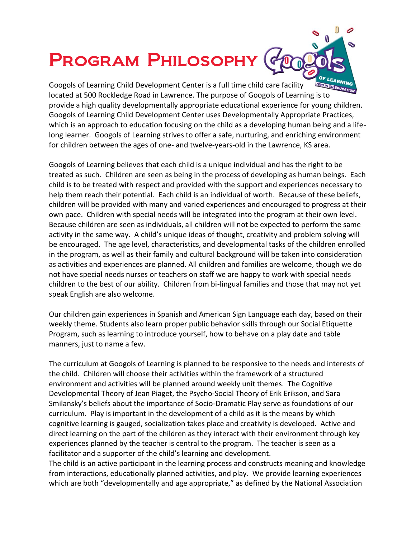## Program Philosophy



Googols of Learning Child Development Center is a full time child care facility located at 500 Rockledge Road in Lawrence. The purpose of Googols of Learning is to provide a high quality developmentally appropriate educational experience for young children. Googols of Learning Child Development Center uses Developmentally Appropriate Practices, which is an approach to education focusing on the child as a developing human being and a lifelong learner. Googols of Learning strives to offer a safe, nurturing, and enriching environment for children between the ages of one- and twelve-years-old in the Lawrence, KS area.

Googols of Learning believes that each child is a unique individual and has the right to be treated as such. Children are seen as being in the process of developing as human beings. Each child is to be treated with respect and provided with the support and experiences necessary to help them reach their potential. Each child is an individual of worth. Because of these beliefs, children will be provided with many and varied experiences and encouraged to progress at their own pace. Children with special needs will be integrated into the program at their own level. Because children are seen as individuals, all children will not be expected to perform the same activity in the same way. A child's unique ideas of thought, creativity and problem solving will be encouraged. The age level, characteristics, and developmental tasks of the children enrolled in the program, as well as their family and cultural background will be taken into consideration as activities and experiences are planned. All children and families are welcome, though we do not have special needs nurses or teachers on staff we are happy to work with special needs children to the best of our ability. Children from bi-lingual families and those that may not yet speak English are also welcome.

Our children gain experiences in Spanish and American Sign Language each day, based on their weekly theme. Students also learn proper public behavior skills through our Social Etiquette Program, such as learning to introduce yourself, how to behave on a play date and table manners, just to name a few.

The curriculum at Googols of Learning is planned to be responsive to the needs and interests of the child. Children will choose their activities within the framework of a structured environment and activities will be planned around weekly unit themes. The Cognitive Developmental Theory of Jean Piaget, the Psycho-Social Theory of Erik Erikson, and Sara Smilansky's beliefs about the importance of Socio-Dramatic Play serve as foundations of our curriculum. Play is important in the development of a child as it is the means by which cognitive learning is gauged, socialization takes place and creativity is developed. Active and direct learning on the part of the children as they interact with their environment through key experiences planned by the teacher is central to the program. The teacher is seen as a facilitator and a supporter of the child's learning and development.

The child is an active participant in the learning process and constructs meaning and knowledge from interactions, educationally planned activities, and play. We provide learning experiences which are both "developmentally and age appropriate," as defined by the National Association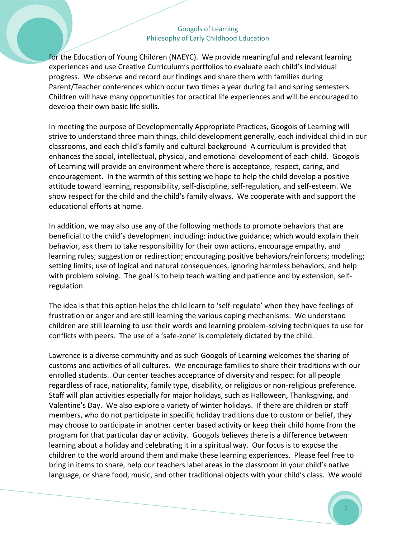## Googols of Learning Philosophy of Early Childhood Education

for the Education of Young Children (NAEYC). We provide meaningful and relevant learning experiences and use Creative Curriculum's portfolios to evaluate each child's individual progress. We observe and record our findings and share them with families during Parent/Teacher conferences which occur two times a year during fall and spring semesters. Children will have many opportunities for practical life experiences and will be encouraged to develop their own basic life skills.

In meeting the purpose of Developmentally Appropriate Practices, Googols of Learning will strive to understand three main things, child development generally, each individual child in our classrooms, and each child's family and cultural background A curriculum is provided that enhances the social, intellectual, physical, and emotional development of each child. Googols of Learning will provide an environment where there is acceptance, respect, caring, and encouragement. In the warmth of this setting we hope to help the child develop a positive attitude toward learning, responsibility, self-discipline, self-regulation, and self-esteem. We show respect for the child and the child's family always. We cooperate with and support the educational efforts at home.

In addition, we may also use any of the following methods to promote behaviors that are beneficial to the child's development including: inductive guidance; which would explain their behavior, ask them to take responsibility for their own actions, encourage empathy, and learning rules; suggestion or redirection; encouraging positive behaviors/reinforcers; modeling; setting limits; use of logical and natural consequences, ignoring harmless behaviors, and help with problem solving. The goal is to help teach waiting and patience and by extension, selfregulation.

The idea is that this option helps the child learn to 'self-regulate' when they have feelings of frustration or anger and are still learning the various coping mechanisms. We understand children are still learning to use their words and learning problem-solving techniques to use for conflicts with peers. The use of a 'safe-zone' is completely dictated by the child.

Lawrence is a diverse community and as such Googols of Learning welcomes the sharing of customs and activities of all cultures. We encourage families to share their traditions with our enrolled students. Our center teaches acceptance of diversity and respect for all people regardless of race, nationality, family type, disability, or religious or non-religious preference. Staff will plan activities especially for major holidays, such as Halloween, Thanksgiving, and Valentine's Day. We also explore a variety of winter holidays. If there are children or staff members, who do not participate in specific holiday traditions due to custom or belief, they may choose to participate in another center based activity or keep their child home from the program for that particular day or activity. Googols believes there is a difference between learning about a holiday and celebrating it in a spiritual way. Our focus is to expose the children to the world around them and make these learning experiences. Please feel free to bring in items to share, help our teachers label areas in the classroom in your child's native language, or share food, music, and other traditional objects with your child's class. We would